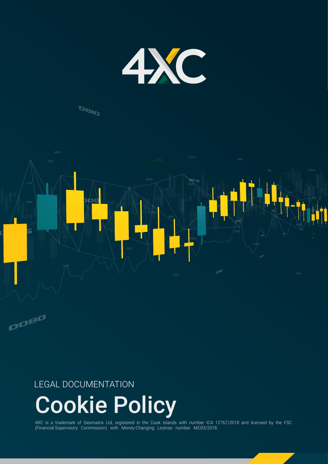

## **DBID**



### LEGAL DOCUMENTATION

# Cookie Policy

4XC is a trademark of Geomatrix Ltd, registered in the Cook Islands with number ICA 12767/2018 and licensed by the FSC (Financial Supervisory Commission) with Money-Changing License number MC03/2018.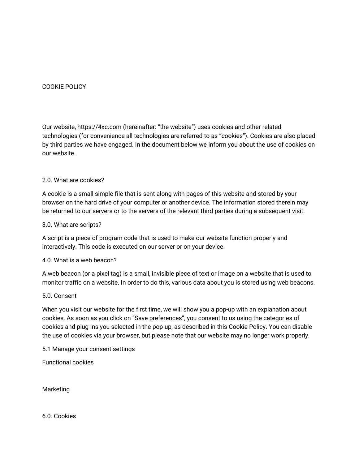#### COOKIE POLICY

Our website, https://4xc.com (hereinafter: "the website") uses cookies and other related technologies (for convenience all technologies are referred to as "cookies"). Cookies are also placed by third parties we have engaged. In the document below we inform you about the use of cookies on our website.

#### 2.0. What are cookies?

A cookie is a small simple file that is sent along with pages of this website and stored by your browser on the hard drive of your computer or another device. The information stored therein may be returned to our servers or to the servers of the relevant third parties during a subsequent visit.

#### 3.0. What are scripts?

A script is a piece of program code that is used to make our website function properly and interactively. This code is executed on our server or on your device.

#### 4.0. What is a web beacon?

A web beacon (or a pixel tag) is a small, invisible piece of text or image on a website that is used to monitor traffic on a website. In order to do this, various data about you is stored using web beacons.

#### 5.0. Consent

When you visit our website for the first time, we will show you a pop-up with an explanation about cookies. As soon as you click on "Save preferences", you consent to us using the categories of cookies and plug-ins you selected in the pop-up, as described in this Cookie Policy. You can disable the use of cookies via your browser, but please note that our website may no longer work properly.

5.1 Manage your consent settings

Functional cookies

Marketing

6.0. Cookies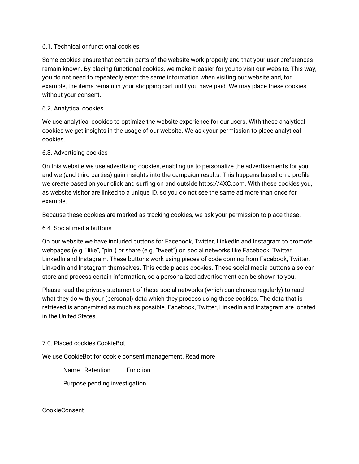#### 6.1. Technical or functional cookies

Some cookies ensure that certain parts of the website work properly and that your user preferences remain known. By placing functional cookies, we make it easier for you to visit our website. This way, you do not need to repeatedly enter the same information when visiting our website and, for example, the items remain in your shopping cart until you have paid. We may place these cookies without your consent.

#### 6.2. Analytical cookies

We use analytical cookies to optimize the website experience for our users. With these analytical cookies we get insights in the usage of our website. We ask your permission to place analytical cookies.

#### 6.3. Advertising cookies

On this website we use advertising cookies, enabling us to personalize the advertisements for you, and we (and third parties) gain insights into the campaign results. This happens based on a profile we create based on your click and surfing on and outside https://4XC.com. With these cookies you, as website visitor are linked to a unique ID, so you do not see the same ad more than once for example.

Because these cookies are marked as tracking cookies, we ask your permission to place these.

#### 6.4. Social media buttons

On our website we have included buttons for Facebook, Twitter, LinkedIn and Instagram to promote webpages (e.g. "like", "pin") or share (e.g. "tweet") on social networks like Facebook, Twitter, LinkedIn and Instagram. These buttons work using pieces of code coming from Facebook, Twitter, LinkedIn and Instagram themselves. This code places cookies. These social media buttons also can store and process certain information, so a personalized advertisement can be shown to you.

Please read the privacy statement of these social networks (which can change regularly) to read what they do with your (personal) data which they process using these cookies. The data that is retrieved is anonymized as much as possible. Facebook, Twitter, LinkedIn and Instagram are located in the United States.

#### 7.0. Placed cookies CookieBot

We use CookieBot for cookie consent management. Read more

Name Retention Function

Purpose pending investigation

CookieConsent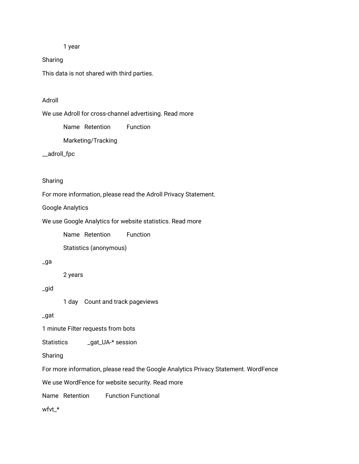1 year

Sharing

This data is not shared with third parties.

#### Adroll

We use Adroll for cross-channel advertising. Read more

Name Retention Function

Marketing/Tracking

\_\_adroll\_fpc

#### Sharing

For more information, please read the Adroll Privacy Statement.

Google Analytics

We use Google Analytics for website statistics. Read more

Name Retention Function

Statistics (anonymous)

#### \_ga

2 years

\_gid

1 day Count and track pageviews

\_gat

1 minute Filter requests from bots

Statistics \_\_\_ \_gat\_UA-\* session

Sharing

For more information, please read the Google Analytics Privacy Statement. WordFence

We use WordFence for website security. Read more

Name Retention Function Functional

wfvt\_\*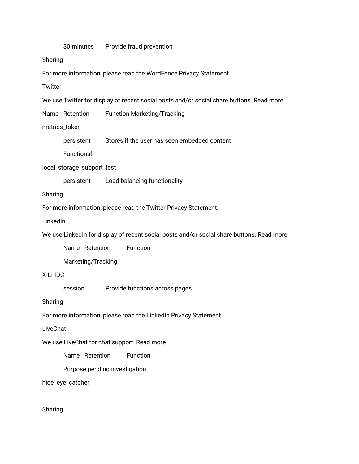30 minutes Provide fraud prevention

Sharing

For more information, please read the WordFence Privacy Statement.

**Twitter** 

We use Twitter for display of recent social posts and/or social share buttons. Read more

Name Retention Function Marketing/Tracking

metrics\_token

persistent Stores if the user has seen embedded content

Functional

local\_storage\_support\_test

persistent Load balancing functionality

Sharing

For more information, please read the Twitter Privacy Statement.

LinkedIn

We use LinkedIn for display of recent social posts and/or social share buttons. Read more

Name Retention Function

Marketing/Tracking

#### X-LI-IDC

session Provide functions across pages

Sharing

For more information, please read the LinkedIn Privacy Statement.

LiveChat

We use LiveChat for chat support. Read more

Name Retention Function

Purpose pending investigation

hide\_eye\_catcher

Sharing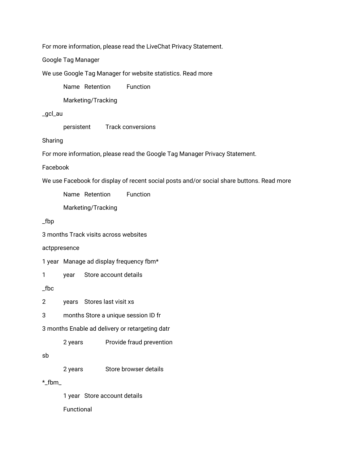For more information, please read the LiveChat Privacy Statement.

Google Tag Manager

We use Google Tag Manager for website statistics. Read more

Name Retention Function

Marketing/Tracking

\_gcl\_au

persistent Track conversions

Sharing

For more information, please read the Google Tag Manager Privacy Statement.

Facebook

We use Facebook for display of recent social posts and/or social share buttons. Read more

Name Retention Function

Marketing/Tracking

\_fbp

3 months Track visits across websites

actppresence

1 year Manage ad display frequency fbm\*

1 year Store account details

\_fbc

2 years Stores last visit xs

3 months Store a unique session ID fr

3 months Enable ad delivery or retargeting datr

2 years Provide fraud prevention

sb

2 years Store browser details

 $*$  fbm

1 year Store account details Functional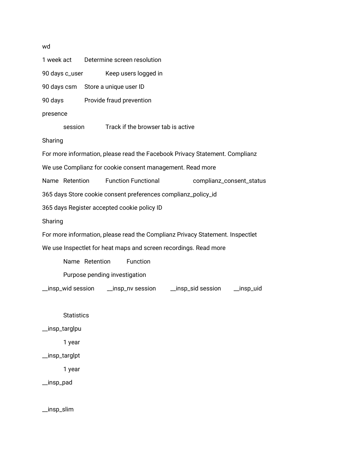1 week act Determine screen resolution 90 days c\_user Keep users logged in 90 days csm Store a unique user ID 90 days Provide fraud prevention presence session Track if the browser tab is active Sharing For more information, please read the Facebook Privacy Statement. Complianz We use Complianz for cookie consent management. Read more Name Retention Function Functional complianz\_consent\_status 365 days Store cookie consent preferences complianz\_policy\_id 365 days Register accepted cookie policy ID Sharing For more information, please read the Complianz Privacy Statement. Inspectlet We use Inspectlet for heat maps and screen recordings. Read more Name Retention Function Purpose pending investigation \_\_insp\_wid session \_\_insp\_nv session \_\_insp\_sid session \_\_insp\_uid

**Statistics** 

\_\_insp\_targlpu

1 year

\_\_insp\_targlpt

1 year

\_\_insp\_pad

\_\_insp\_slim

wd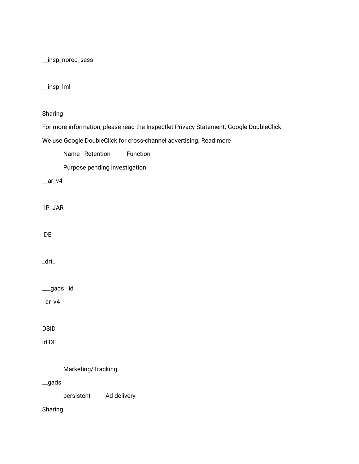\_\_insp\_norec\_sess

#### \_\_insp\_lml

Sharing

For more information, please read the Inspectlet Privacy Statement. Google DoubleClick

We use Google DoubleClick for cross-channel advertising. Read more

Name Retention Function

Purpose pending investigation

 $ar_v4$ 

1P\_JAR

IDE

\_drt\_

\_\_\_gads id

ar\_v4

DSID

idIDE

Marketing/Tracking

\_\_gads

persistent Ad delivery

Sharing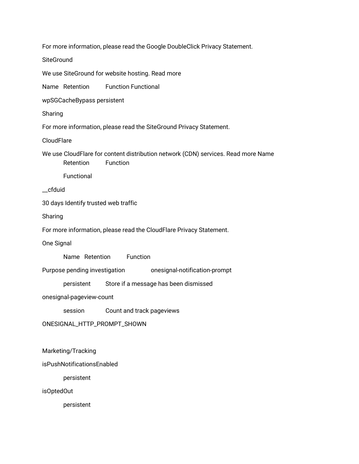For more information, please read the Google DoubleClick Privacy Statement.

**SiteGround** 

We use SiteGround for website hosting. Read more

Name Retention Function Functional

wpSGCacheBypass persistent

Sharing

For more information, please read the SiteGround Privacy Statement.

**CloudFlare** 

We use CloudFlare for content distribution network (CDN) services. Read more Name Retention Function

Functional

\_\_cfduid

30 days Identify trusted web traffic

Sharing

For more information, please read the CloudFlare Privacy Statement.

One Signal

Name Retention Function

Purpose pending investigation onesignal-notification-prompt

persistent Store if a message has been dismissed

onesignal-pageview-count

session Count and track pageviews

ONESIGNAL\_HTTP\_PROMPT\_SHOWN

Marketing/Tracking

isPushNotificationsEnabled

persistent

isOptedOut

persistent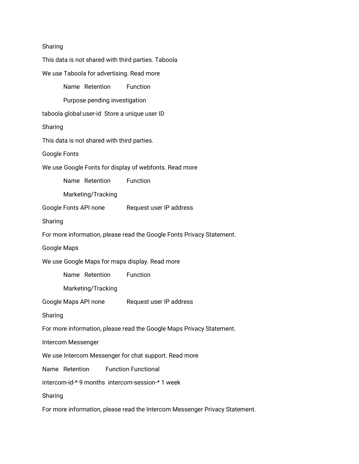| Sharing                                                                     |
|-----------------------------------------------------------------------------|
| This data is not shared with third parties. Taboola                         |
| We use Taboola for advertising. Read more                                   |
| Name Retention<br>Function                                                  |
| Purpose pending investigation                                               |
| taboola global:user-id Store a unique user ID                               |
| Sharing                                                                     |
| This data is not shared with third parties.                                 |
| Google Fonts                                                                |
| We use Google Fonts for display of webfonts. Read more                      |
| Name Retention<br>Function                                                  |
| Marketing/Tracking                                                          |
| Google Fonts API none<br>Request user IP address                            |
| Sharing                                                                     |
| For more information, please read the Google Fonts Privacy Statement.       |
| Google Maps                                                                 |
| We use Google Maps for maps display. Read more                              |
| Name Retention<br>Function                                                  |
| Marketing/Tracking                                                          |
| Google Maps API none<br>Request user IP address                             |
| Sharing                                                                     |
| For more information, please read the Google Maps Privacy Statement.        |
| Intercom Messenger                                                          |
| We use Intercom Messenger for chat support. Read more                       |
| Name Retention<br><b>Function Functional</b>                                |
| intercom-id-* 9 months intercom-session-* 1 week                            |
| Sharing                                                                     |
| For more information, please read the Intercom Messenger Privacy Statement. |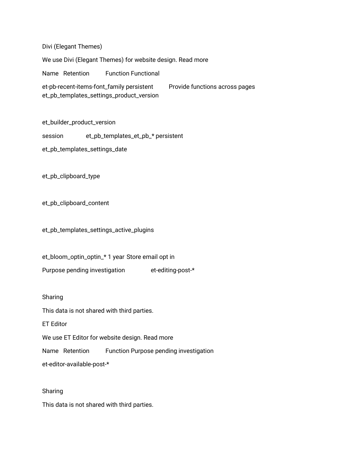Divi (Elegant Themes)

We use Divi (Elegant Themes) for website design. Read more

Name Retention Function Functional

et-pb-recent-items-font\_family persistent Provide functions across pages et\_pb\_templates\_settings\_product\_version

et\_builder\_product\_version

session et\_pb\_templates\_et\_pb\_\* persistent

et\_pb\_templates\_settings\_date

et\_pb\_clipboard\_type

et\_pb\_clipboard\_content

et\_pb\_templates\_settings\_active\_plugins

et\_bloom\_optin\_optin\_\* 1 year Store email opt in Purpose pending investigation et-editing-post-\*

Sharing

This data is not shared with third parties.

ET Editor

We use ET Editor for website design. Read more

Name Retention Function Purpose pending investigation

et-editor-available-post-\*

Sharing

This data is not shared with third parties.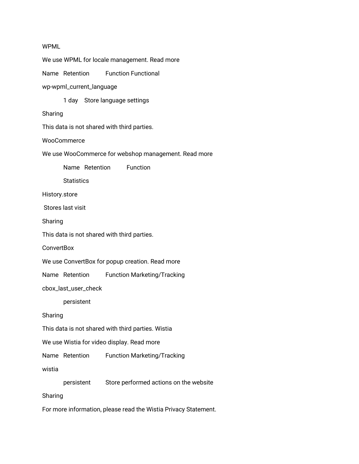#### WPML

We use WPML for locale management. Read more Name Retention Function Functional wp-wpml\_current\_language 1 day Store language settings Sharing This data is not shared with third parties. **WooCommerce** We use WooCommerce for webshop management. Read more Name Retention Function **Statistics** History.store Stores last visit Sharing This data is not shared with third parties. **ConvertBox** We use ConvertBox for popup creation. Read more Name Retention Function Marketing/Tracking cbox\_last\_user\_check persistent Sharing This data is not shared with third parties. Wistia We use Wistia for video display. Read more Name Retention Function Marketing/Tracking wistia persistent Store performed actions on the website Sharing For more information, please read the Wistia Privacy Statement.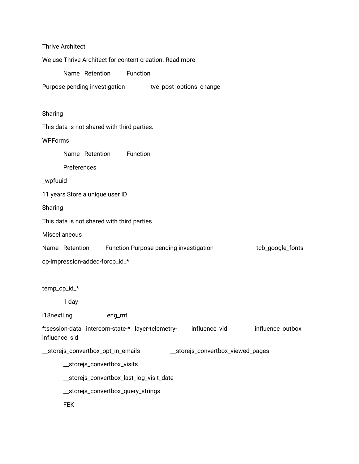| <b>Thrive Architect</b>                                                                                |
|--------------------------------------------------------------------------------------------------------|
| We use Thrive Architect for content creation. Read more                                                |
| Name Retention<br>Function                                                                             |
| Purpose pending investigation tve_post_options_change                                                  |
| Sharing                                                                                                |
| This data is not shared with third parties.                                                            |
| <b>WPForms</b>                                                                                         |
| Name Retention<br>Function                                                                             |
| Preferences                                                                                            |
| _wpfuuid                                                                                               |
| 11 years Store a unique user ID                                                                        |
| Sharing                                                                                                |
| This data is not shared with third parties.                                                            |
| Miscellaneous                                                                                          |
| Function Purpose pending investigation<br>tcb_google_fonts<br>Name Retention                           |
| cp-impression-added-forcp_id_*                                                                         |
| temp_cp_id_*                                                                                           |
| 1 day                                                                                                  |
| i18nextLng<br>eng_mt                                                                                   |
| influence_vid<br>*:session-data intercom-state-* layer-telemetry-<br>influence_outbox<br>influence_sid |
| _storejs_convertbox_opt_in_emails<br>__storejs_convertbox_viewed_pages                                 |
| _storejs_convertbox_visits                                                                             |
| _storejs_convertbox_last_log_visit_date                                                                |
| __storejs_convertbox_query_strings                                                                     |
| <b>FEK</b>                                                                                             |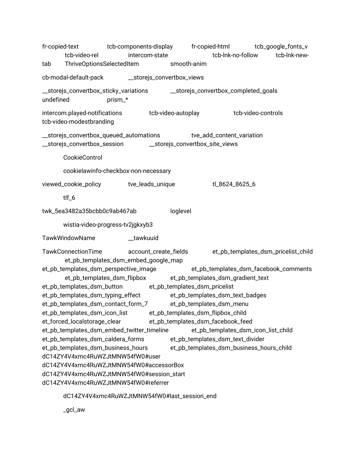fr-copied-text tcb-components-display fr-copied-html tcb\_google\_fonts\_v tcb-video-rel intercom-state tcb-lnk-no-follow tcb-lnk-newtab ThriveOptionsSelectedItem smooth-anim cb-modal-default-pack \_\_storejs\_convertbox\_views \_\_storejs\_convertbox\_sticky\_variations \_\_storejs\_convertbox\_completed\_goals undefined prism\_\* intercom.played-notifications tcb-video-autoplay tcb-video-controls tcb-video-modestbranding \_\_storejs\_convertbox\_queued\_automations tve\_add\_content\_variation \_\_storejs\_convertbox\_session \_\_storejs\_convertbox\_site\_views CookieControl cookielawinfo-checkbox-non-necessary viewed\_cookie\_policy tve\_leads\_unique tl\_8624\_8625\_6 tlf\_6 twk\_5ea3482a35bcbb0c9ab467ab loglevel wistia-video-progress-tv2jgkxyb3 TawkWindowName **bulktuuid** TawkConnectionTime account\_create\_fields et\_pb\_templates\_dsm\_pricelist\_child et\_pb\_templates\_dsm\_embed\_google\_map et\_pb\_templates\_dsm\_perspective\_image et\_pb\_templates\_dsm\_facebook\_comments et\_pb\_templates\_dsm\_flipbox et\_pb\_templates\_dsm\_gradient\_text et\_pb\_templates\_dsm\_button et\_pb\_templates\_dsm\_pricelist et\_pb\_templates\_dsm\_typing\_effect et\_pb\_templates\_dsm\_text\_badges et\_pb\_templates\_dsm\_contact\_form\_7 et\_pb\_templates\_dsm\_menu et\_pb\_templates\_dsm\_icon\_list et\_pb\_templates\_dsm\_flipbox\_child et\_forced\_localstorage\_clear et\_pb\_templates\_dsm\_facebook\_feed et\_pb\_templates\_dsm\_embed\_twitter\_timeline et\_pb\_templates\_dsm\_icon\_list\_child et\_pb\_templates\_dsm\_caldera\_forms et\_pb\_templates\_dsm\_text\_divider et\_pb\_templates\_dsm\_business\_hours et\_pb\_templates\_dsm\_business\_hours\_child dC14ZY4V4xmc4RuWZJtMNW54fW0#user dC14ZY4V4xmc4RuWZJtMNW54fW0#accessorBox dC14ZY4V4xmc4RuWZJtMNW54fW0#session\_start dC14ZY4V4xmc4RuWZJtMNW54fW0#referrer

dC14ZY4V4xmc4RuWZJtMNW54fW0#last\_session\_end

\_gcl\_aw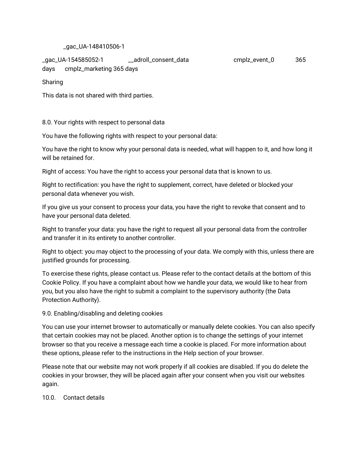#### \_gac\_UA-148410506-1

\_gac\_UA-154585052-1 \_\_adroll\_consent\_data cmplz\_event\_0 365 days cmplz\_marketing 365 days

Sharing

This data is not shared with third parties.

8.0. Your rights with respect to personal data

You have the following rights with respect to your personal data:

You have the right to know why your personal data is needed, what will happen to it, and how long it will be retained for.

Right of access: You have the right to access your personal data that is known to us.

Right to rectification: you have the right to supplement, correct, have deleted or blocked your personal data whenever you wish.

If you give us your consent to process your data, you have the right to revoke that consent and to have your personal data deleted.

Right to transfer your data: you have the right to request all your personal data from the controller and transfer it in its entirety to another controller.

Right to object: you may object to the processing of your data. We comply with this, unless there are justified grounds for processing.

To exercise these rights, please contact us. Please refer to the contact details at the bottom of this Cookie Policy. If you have a complaint about how we handle your data, we would like to hear from you, but you also have the right to submit a complaint to the supervisory authority (the Data Protection Authority).

#### 9.0. Enabling/disabling and deleting cookies

You can use your internet browser to automatically or manually delete cookies. You can also specify that certain cookies may not be placed. Another option is to change the settings of your internet browser so that you receive a message each time a cookie is placed. For more information about these options, please refer to the instructions in the Help section of your browser.

Please note that our website may not work properly if all cookies are disabled. If you do delete the cookies in your browser, they will be placed again after your consent when you visit our websites again.

10.0. Contact details